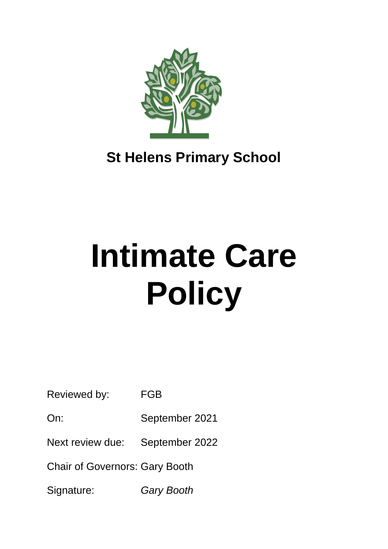

# **St Helens Primary School**

# **Intimate Care Policy**

Reviewed by: FGB

On: September 2021

Next review due: September 2022

Chair of Governors: Gary Booth

Signature: *Gary Booth*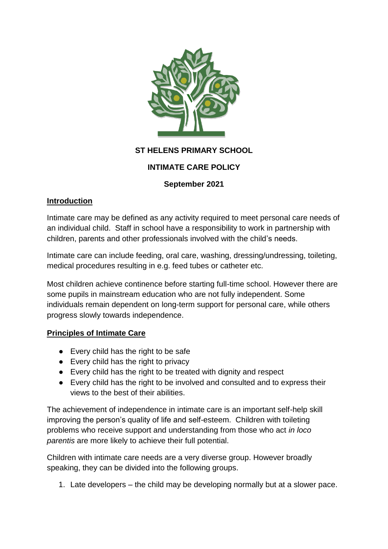

# **ST HELENS PRIMARY SCHOOL**

# **INTIMATE CARE POLICY**

#### **September 2021**

#### **Introduction**

Intimate care may be defined as any activity required to meet personal care needs of an individual child. Staff in school have a responsibility to work in partnership with children, parents and other professionals involved with the child's needs.

Intimate care can include feeding, oral care, washing, dressing/undressing, toileting, medical procedures resulting in e.g. feed tubes or catheter etc.

Most children achieve continence before starting full-time school. However there are some pupils in mainstream education who are not fully independent. Some individuals remain dependent on long-term support for personal care, while others progress slowly towards independence.

#### **Principles of Intimate Care**

- Every child has the right to be safe
- Every child has the right to privacy
- Every child has the right to be treated with dignity and respect
- Every child has the right to be involved and consulted and to express their views to the best of their abilities.

The achievement of independence in intimate care is an important self-help skill improving the person's quality of life and self-esteem. Children with toileting problems who receive support and understanding from those who act *in loco parentis* are more likely to achieve their full potential.

Children with intimate care needs are a very diverse group. However broadly speaking, they can be divided into the following groups.

1. Late developers – the child may be developing normally but at a slower pace.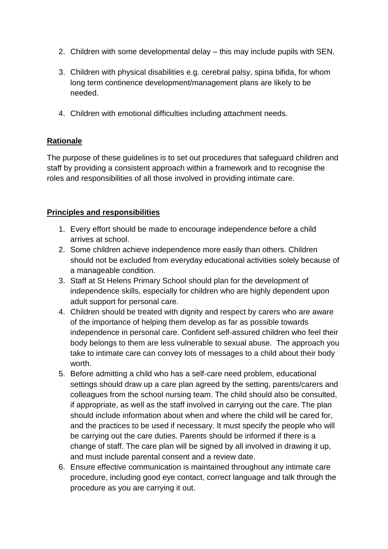- 2. Children with some developmental delay this may include pupils with SEN.
- 3. Children with physical disabilities e.g. cerebral palsy, spina bifida, for whom long term continence development/management plans are likely to be needed.
- 4. Children with emotional difficulties including attachment needs.

#### **Rationale**

The purpose of these guidelines is to set out procedures that safeguard children and staff by providing a consistent approach within a framework and to recognise the roles and responsibilities of all those involved in providing intimate care.

#### **Principles and responsibilities**

- 1. Every effort should be made to encourage independence before a child arrives at school.
- 2. Some children achieve independence more easily than others. Children should not be excluded from everyday educational activities solely because of a manageable condition.
- 3. Staff at St Helens Primary School should plan for the development of independence skills, especially for children who are highly dependent upon adult support for personal care.
- 4. Children should be treated with dignity and respect by carers who are aware of the importance of helping them develop as far as possible towards independence in personal care. Confident self-assured children who feel their body belongs to them are less vulnerable to sexual abuse. The approach you take to intimate care can convey lots of messages to a child about their body worth.
- 5. Before admitting a child who has a self-care need problem, educational settings should draw up a care plan agreed by the setting, parents/carers and colleagues from the school nursing team. The child should also be consulted, if appropriate, as well as the staff involved in carrying out the care. The plan should include information about when and where the child will be cared for, and the practices to be used if necessary. It must specify the people who will be carrying out the care duties. Parents should be informed if there is a change of staff. The care plan will be signed by all involved in drawing it up, and must include parental consent and a review date.
- 6. Ensure effective communication is maintained throughout any intimate care procedure, including good eye contact, correct language and talk through the procedure as you are carrying it out.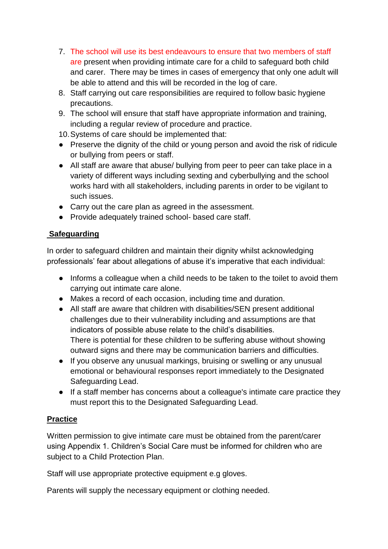- 7. The school will use its best endeavours to ensure that two members of staff are present when providing intimate care for a child to safeguard both child and carer. There may be times in cases of emergency that only one adult will be able to attend and this will be recorded in the log of care.
- 8. Staff carrying out care responsibilities are required to follow basic hygiene precautions.
- 9. The school will ensure that staff have appropriate information and training, including a regular review of procedure and practice.
- 10.Systems of care should be implemented that:
- Preserve the dignity of the child or young person and avoid the risk of ridicule or bullying from peers or staff.
- All staff are aware that abuse/ bullying from peer to peer can take place in a variety of different ways including sexting and cyberbullying and the school works hard with all stakeholders, including parents in order to be vigilant to such issues.
- Carry out the care plan as agreed in the assessment.
- Provide adequately trained school- based care staff.

# **Safeguarding**

In order to safeguard children and maintain their dignity whilst acknowledging professionals' fear about allegations of abuse it's imperative that each individual:

- Informs a colleague when a child needs to be taken to the toilet to avoid them carrying out intimate care alone.
- Makes a record of each occasion, including time and duration.
- All staff are aware that children with disabilities/SEN present additional challenges due to their vulnerability including and assumptions are that indicators of possible abuse relate to the child's disabilities. There is potential for these children to be suffering abuse without showing outward signs and there may be communication barriers and difficulties.
- If you observe any unusual markings, bruising or swelling or any unusual emotional or behavioural responses report immediately to the Designated Safeguarding Lead.
- If a staff member has concerns about a colleague's intimate care practice they must report this to the Designated Safeguarding Lead.

# **Practice**

Written permission to give intimate care must be obtained from the parent/carer using Appendix 1. Children's Social Care must be informed for children who are subject to a Child Protection Plan.

Staff will use appropriate protective equipment e.g gloves.

Parents will supply the necessary equipment or clothing needed.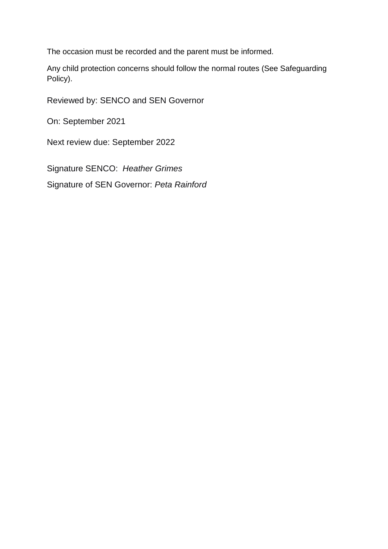The occasion must be recorded and the parent must be informed.

Any child protection concerns should follow the normal routes (See Safeguarding Policy).

Reviewed by: SENCO and SEN Governor

On: September 2021

Next review due: September 2022

Signature SENCO: *Heather Grimes*

Signature of SEN Governor: *Peta Rainford*